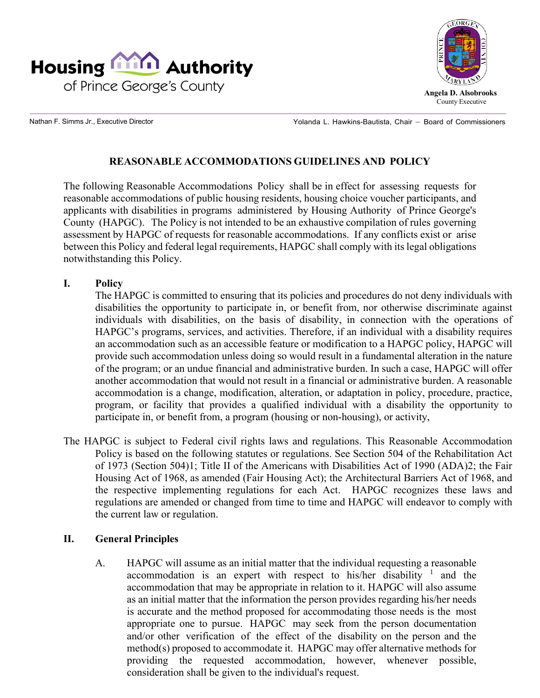



**Angela D. Alsobrooks** County Executive

Nathan F. Simms Jr., Executive Director

Yolanda L. Hawkins-Bautista, Chair — Board of Commissioners

# **REASONABLE ACCOMMODATIONS GUIDELINES AND POLICY**

The following Reasonable Accommodations Policy shall be in effect for assessing requests for reasonable accommodations of public housing residents, housing choice voucher participants, and applicants with disabilities in programs administered by Housing Authority of Prince George's County (HAPGC). The Policy is not intended to be an exhaustive compilation of rules governing assessment by HAPGC of requests for reasonable accommodations. If any conflicts exist or arise between this Policy and federal legal requirements, HAPGC shall comply with its legal obligations notwithstanding this Policy.

**I. Policy**

The HAPGC is committed to ensuring that its policies and procedures do not deny individuals with disabilities the opportunity to participate in, or benefit from, nor otherwise discriminate against individuals with disabilities, on the basis of disability, in connection with the operations of HAPGC's programs, services, and activities. Therefore, if an individual with a disability requires an accommodation such as an accessible feature or modification to a HAPGC policy, HAPGC will provide such accommodation unless doing so would result in a fundamental alteration in the nature of the program; or an undue financial and administrative burden. In such a case, HAPGC will offer another accommodation that would not result in a financial or administrative burden. A reasonable accommodation is a change, modification, alteration, or adaptation in policy, procedure, practice, program, or facility that provides a qualified individual with a disability the opportunity to participate in, or benefit from, a program (housing or non-housing), or activity,

The HAPGC is subject to Federal civil rights laws and regulations. This Reasonable Accommodation Policy is based on the following statutes or regulations. See Section 504 of the Rehabilitation Act of 1973 (Section 504)1; Title II of the Americans with Disabilities Act of 1990 (ADA)2; the Fair Housing Act of 1968, as amended (Fair Housing Act); the Architectural Barriers Act of 1968, and the respective implementing regulations for each Act. HAPGC recognizes these laws and regulations are amended or changed from time to time and HAPGC will endeavor to comply with the current law or regulation.

## **II. General Principles**

A. HAPGC will assume as an initial matter that the individual requesting a reasonable accommodation is an expert with respect to his/her disability  $\frac{1}{1}$  and the accommodation that may be appropriate in relation to it. HAPGC will also assume as an initial matter that the information the person provides regarding his/her needs is accurate and the method proposed for accommodating those needs is the most appropriate one to pursue. HAPGC may seek from the person documentation and/or other verification of the effect of the disability on the person and the method(s) proposed to accommodate it. HAPGC may offer alternative methods for providing the requested accommodation, however, whenever possible, consideration shall be given to the individual's request.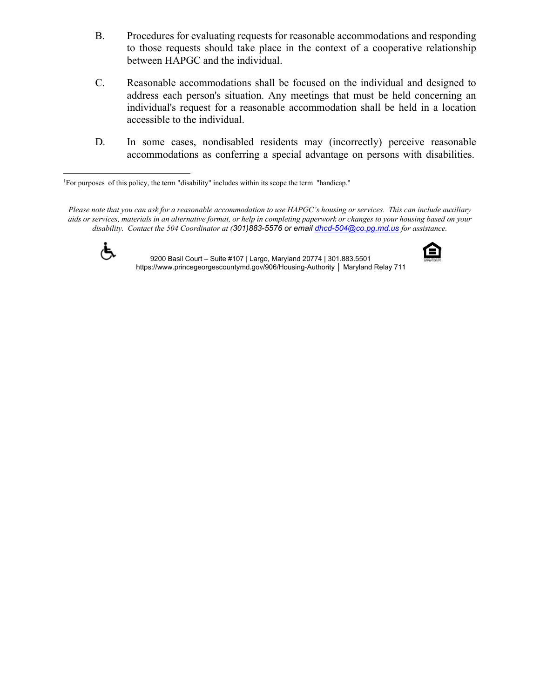- B. Procedures for evaluating requests for reasonable accommodations and responding to those requests should take place in the context of a cooperative relationship between HAPGC and the individual.
- C. Reasonable accommodations shall be focused on the individual and designed to address each person's situation. Any meetings that must be held concerning an individual's request for a reasonable accommodation shall be held in a location accessible to the individual.
- D. In some cases, nondisabled residents may (incorrectly) perceive reasonable accommodations as conferring a special advantage on persons with disabilities.

Please note that you can ask for a reasonable accommodation to use HAPGC's housing or services. This can include auxiliary aids or services, materials in an alternative format, or help in completing paperwork or changes to your housing based on your *disability. Contact the 504 Coordinator at (301)883-5576 or email [dhcd-504@co.pg.md.us](mailto:dhcd-504@co.pg.md.us) for assistance.*



 9200 Basil Court – Suite #107 | Largo, Maryland 20774 | 301.883.5501 https:[//www.princegeorgescountymd.gov/906/Housing-Authority](http://www.princegeorgescountymd.gov/906/Housing-Authority) │ Maryland Relay 711



<sup>1</sup> For purposes of this policy, the term "disability" includes within its scope the term "handicap."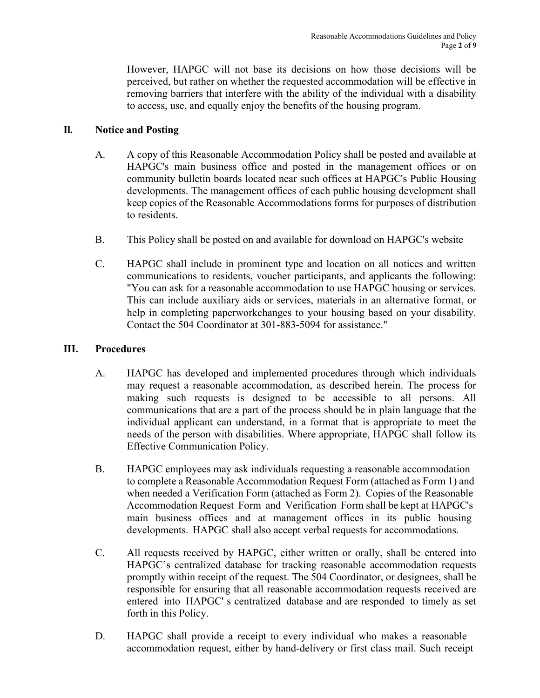However, HAPGC will not base its decisions on how those decisions will be perceived, but rather on whether the requested accommodation will be effective in removing barriers that interfere with the ability of the individual with a disability to access, use, and equally enjoy the benefits of the housing program.

# **Il. Notice and Posting**

- A. A copy of this Reasonable Accommodation Policy shall be posted and available at HAPGC's main business office and posted in the management offices or on community bulletin boards located near such offices at HAPGC's Public Housing developments. The management offices of each public housing development shall keep copies of the Reasonable Accommodations forms for purposes of distribution to residents.
- B. This Policy shall be posted on and available for download on HAPGC's website
- C. HAPGC shall include in prominent type and location on all notices and written communications to residents, voucher participants, and applicants the following: "You can ask for a reasonable accommodation to use HAPGC housing or services. This can include auxiliary aids or services, materials in an alternative format, or help in completing paperworkchanges to your housing based on your disability. Contact the 504 Coordinator at 301-883-5094 for assistance."

#### **III. Procedures**

- A. HAPGC has developed and implemented procedures through which individuals may request a reasonable accommodation, as described herein. The process for making such requests is designed to be accessible to all persons. All communications that are a part of the process should be in plain language that the individual applicant can understand, in a format that is appropriate to meet the needs of the person with disabilities. Where appropriate, HAPGC shall follow its Effective Communication Policy.
- B. HAPGC employees may ask individuals requesting a reasonable accommodation to complete a Reasonable Accommodation Request Form (attached as Form 1) and when needed a Verification Form (attached as Form 2). Copies of the Reasonable Accommodation Request Form and Verification Form shall be kept at HAPGC's main business offices and at management offices in its public housing developments. HAPGC shall also accept verbal requests for accommodations.
- C. All requests received by HAPGC, either written or orally, shall be entered into HAPGC's centralized database for tracking reasonable accommodation requests promptly within receipt of the request. The 504 Coordinator, or designees, shall be responsible for ensuring that all reasonable accommodation requests received are entered into HAPGC' s centralized database and are responded to timely as set forth in this Policy.
- D. HAPGC shall provide a receipt to every individual who makes a reasonable accommodation request, either by hand-delivery or first class mail. Such receipt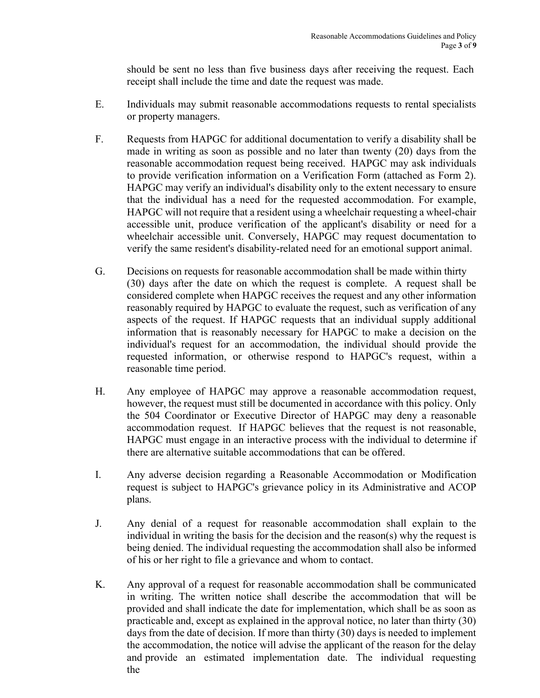should be sent no less than five business days after receiving the request. Each receipt shall include the time and date the request was made.

- E. Individuals may submit reasonable accommodations requests to rental specialists or property managers.
- F. Requests from HAPGC for additional documentation to verify a disability shall be made in writing as soon as possible and no later than twenty (20) days from the reasonable accommodation request being received. HAPGC may ask individuals to provide verification information on a Verification Form (attached as Form 2). HAPGC may verify an individual's disability only to the extent necessary to ensure that the individual has a need for the requested accommodation. For example, HAPGC will not require that a resident using a wheelchair requesting a wheel-chair accessible unit, produce verification of the applicant's disability or need for a wheelchair accessible unit. Conversely, HAPGC may request documentation to verify the same resident's disability-related need for an emotional support animal.
- G. Decisions on requests for reasonable accommodation shall be made within thirty (30) days after the date on which the request is complete. A request shall be considered complete when HAPGC receives the request and any other information reasonably required by HAPGC to evaluate the request, such as verification of any aspects of the request. If HAPGC requests that an individual supply additional information that is reasonably necessary for HAPGC to make a decision on the individual's request for an accommodation, the individual should provide the requested information, or otherwise respond to HAPGC's request, within a reasonable time period.
- H. Any employee of HAPGC may approve a reasonable accommodation request, however, the request must still be documented in accordance with this policy. Only the 504 Coordinator or Executive Director of HAPGC may deny a reasonable accommodation request. If HAPGC believes that the request is not reasonable, HAPGC must engage in an interactive process with the individual to determine if there are alternative suitable accommodations that can be offered.
- I. Any adverse decision regarding a Reasonable Accommodation or Modification request is subject to HAPGC's grievance policy in its Administrative and ACOP plans.
- J. Any denial of a request for reasonable accommodation shall explain to the individual in writing the basis for the decision and the reason(s) why the request is being denied. The individual requesting the accommodation shall also be informed of his or her right to file a grievance and whom to contact.
- K. Any approval of a request for reasonable accommodation shall be communicated in writing. The written notice shall describe the accommodation that will be provided and shall indicate the date for implementation, which shall be as soon as practicable and, except as explained in the approval notice, no later than thirty (30) days from the date of decision. If more than thirty (30) days is needed to implement the accommodation, the notice will advise the applicant of the reason for the delay and provide an estimated implementation date. The individual requesting the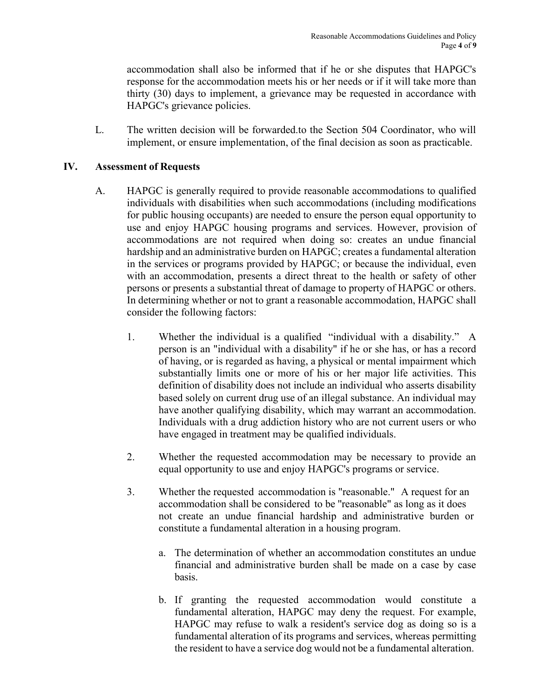accommodation shall also be informed that if he or she disputes that HAPGC's response for the accommodation meets his or her needs or if it will take more than thirty (30) days to implement, a grievance may be requested in accordance with HAPGC's grievance policies.

L. The written decision will be forwarded.to the Section 504 Coordinator, who will implement, or ensure implementation, of the final decision as soon as practicable.

#### **IV. Assessment of Requests**

- A. HAPGC is generally required to provide reasonable accommodations to qualified individuals with disabilities when such accommodations (including modifications for public housing occupants) are needed to ensure the person equal opportunity to use and enjoy HAPGC housing programs and services. However, provision of accommodations are not required when doing so: creates an undue financial hardship and an administrative burden on HAPGC; creates a fundamental alteration in the services or programs provided by HAPGC; or because the individual, even with an accommodation, presents a direct threat to the health or safety of other persons or presents a substantial threat of damage to property of HAPGC or others. In determining whether or not to grant a reasonable accommodation, HAPGC shall consider the following factors:
	- 1. Whether the individual is a qualified "individual with a disability." A person is an "individual with a disability" if he or she has, or has a record of having, or is regarded as having, a physical or mental impairment which substantially limits one or more of his or her major life activities. This definition of disability does not include an individual who asserts disability based solely on current drug use of an illegal substance. An individual may have another qualifying disability, which may warrant an accommodation. Individuals with a drug addiction history who are not current users or who have engaged in treatment may be qualified individuals.
	- 2. Whether the requested accommodation may be necessary to provide an equal opportunity to use and enjoy HAPGC's programs or service.
	- 3. Whether the requested accommodation is "reasonable." A request for an accommodation shall be considered to be ''reasonable" as long as it does not create an undue financial hardship and administrative burden or constitute a fundamental alteration in a housing program.
		- a. The determination of whether an accommodation constitutes an undue financial and administrative burden shall be made on a case by case basis.
		- b. If granting the requested accommodation would constitute a fundamental alteration, HAPGC may deny the request. For example, HAPGC may refuse to walk a resident's service dog as doing so is a fundamental alteration of its programs and services, whereas permitting the resident to have a service dog would not be a fundamental alteration.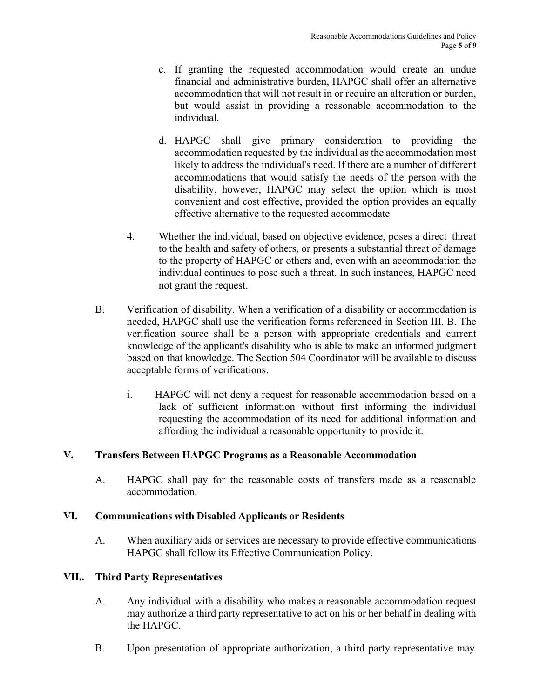- c. If granting the requested accommodation would create an undue financial and administrative burden, HAPGC shall offer an alternative accommodation that will not result in or require an alteration or burden, but would assist in providing a reasonable accommodation to the individual.
- d. HAPGC shall give primary consideration to providing the accommodation requested by the individual as the accommodation most likely to address the individual's need. If there are a number of different accommodations that would satisfy the needs of the person with the disability, however, HAPGC may select the option which is most convenient and cost effective, provided the option provides an equally effective alternative to the requested accommodate
- 4. Whether the individual, based on objective evidence, poses a direct threat to the health and safety of others, or presents a substantial threat of damage to the property of HAPGC or others and, even with an accommodation the individual continues to pose such a threat. In such instances, HAPGC need not grant the request.
- B. Verification of disability. When a verification of a disability or accommodation is needed, HAPGC shall use the verification forms referenced in Section III. B. The verification source shall be a person with appropriate credentials and current knowledge of the applicant's disability who is able to make an informed judgment based on that knowledge. The Section 504 Coordinator will be available to discuss acceptable forms of verifications.
	- i. HAPGC will not deny a request for reasonable accommodation based on a lack of sufficient information without first informing the individual requesting the accommodation of its need for additional information and affording the individual a reasonable opportunity to provide it.

## **V. Transfers Between HAPGC Programs as a Reasonable Accommodation**

A. HAPGC shall pay for the reasonable costs of transfers made as a reasonable accommodation.

## **VI. Communications with Disabled Applicants or Residents**

A. When auxiliary aids or services are necessary to provide effective communications HAPGC shall follow its Effective Communication Policy.

## **VII.. Third Party Representatives**

- A. Any individual with a disability who makes a reasonable accommodation request may authorize a third party representative to act on his or her behalf in dealing with the HAPGC.
- B. Upon presentation of appropriate authorization, a third party representative may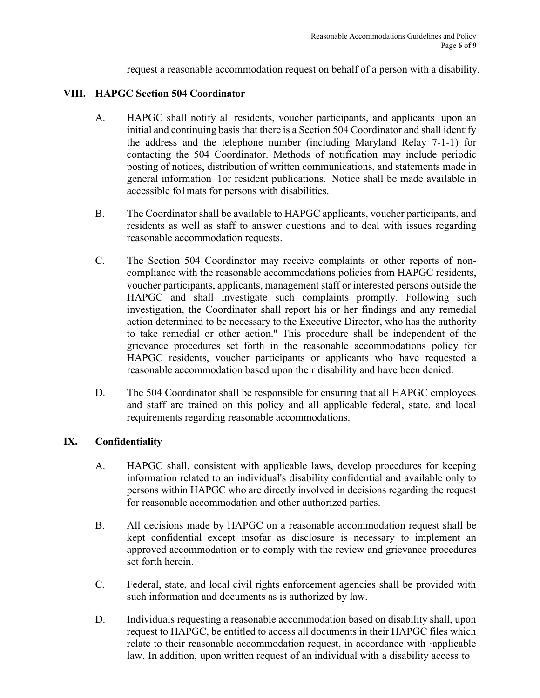request a reasonable accommodation request on behalf of a person with a disability.

#### **VIII. HAPGC Section 504 Coordinator**

- A. HAPGC shall notify all residents, voucher participants, and applicants upon an initial and continuing basis that there is a Section 504 Coordinator and shall identify the address and the telephone number (including Maryland Relay 7-1-1) for contacting the 504 Coordinator. Methods of notification may include periodic posting of notices, distribution of written communications, and statements made in general information 1or resident publications. Notice shall be made available in accessible fo1mats for persons with disabilities.
- B. The Coordinator shall be available to HAPGC applicants, voucher participants, and residents as well as staff to answer questions and to deal with issues regarding reasonable accommodation requests.
- C. The Section 504 Coordinator may receive complaints or other reports of noncompliance with the reasonable accommodations policies from HAPGC residents, voucher participants, applicants, management staff or interested persons outside the HAPGC and shall investigate such complaints promptly. Following such investigation, the Coordinator shall report his or her findings and any remedial action determined to be necessary to the Executive Director, who has the authority to take remedial or other action.'' This procedure shall be independent of the grievance procedures set forth in the reasonable accommodations policy for HAPGC residents, voucher participants or applicants who have requested a reasonable accommodation based upon their disability and have been denied.
- D. The 504 Coordinator shall be responsible for ensuring that all HAPGC employees and staff are trained on this policy and all applicable federal, state, and local requirements regarding reasonable accommodations.

## **IX. Confidentiality**

- A. HAPGC shall, consistent with applicable laws, develop procedures for keeping information related to an individual's disability confidential and available only to persons within HAPGC who are directly involved in decisions regarding the request for reasonable accommodation and other authorized parties.
- B. All decisions made by HAPGC on a reasonable accommodation request shall be kept confidential except insofar as disclosure is necessary to implement an approved accommodation or to comply with the review and grievance procedures set forth herein.
- C. Federal, state, and local civil rights enforcement agencies shall be provided with such information and documents as is authorized by law.
- D. Individuals requesting a reasonable accommodation based on disability shall, upon request to HAPGC, be entitled to access all documents in their HAPGC files which relate to their reasonable accommodation request, in accordance with ·applicable law. In addition, upon written request of an individual with a disability access to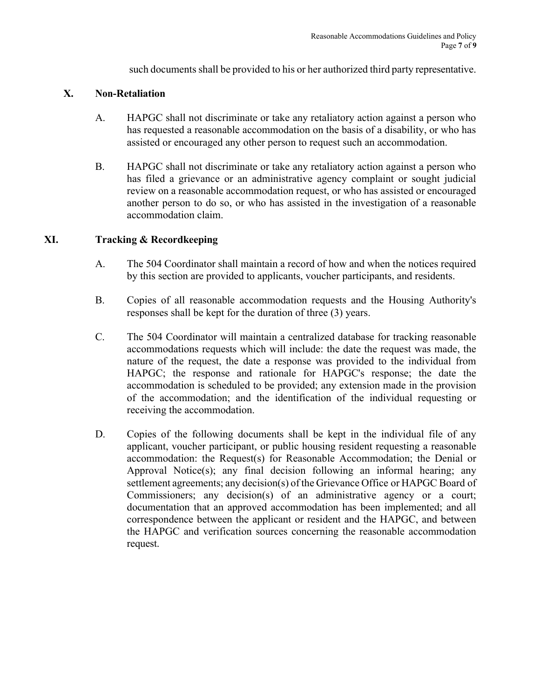such documents shall be provided to his or her authorized third party representative.

#### **X. Non-Retaliation**

- A. HAPGC shall not discriminate or take any retaliatory action against a person who has requested a reasonable accommodation on the basis of a disability, or who has assisted or encouraged any other person to request such an accommodation.
- B. HAPGC shall not discriminate or take any retaliatory action against a person who has filed a grievance or an administrative agency complaint or sought judicial review on a reasonable accommodation request, or who has assisted or encouraged another person to do so, or who has assisted in the investigation of a reasonable accommodation claim.

## **XI. Tracking & Recordkeeping**

- A. The 504 Coordinator shall maintain a record of how and when the notices required by this section are provided to applicants, voucher participants, and residents.
- B. Copies of all reasonable accommodation requests and the Housing Authority's responses shall be kept for the duration of three (3) years.
- C. The 504 Coordinator will maintain a centralized database for tracking reasonable accommodations requests which will include: the date the request was made, the nature of the request, the date a response was provided to the individual from HAPGC; the response and rationale for HAPGC's response; the date the accommodation is scheduled to be provided; any extension made in the provision of the accommodation; and the identification of the individual requesting or receiving the accommodation.
- D. Copies of the following documents shall be kept in the individual file of any applicant, voucher participant, or public housing resident requesting a reasonable accommodation: the Request(s) for Reasonable Accommodation; the Denial or Approval Notice(s); any final decision following an informal hearing; any settlement agreements; any decision(s) of the Grievance Office or HAPGC Board of Commissioners; any decision(s) of an administrative agency or a court; documentation that an approved accommodation has been implemented; and all correspondence between the applicant or resident and the HAPGC, and between the HAPGC and verification sources concerning the reasonable accommodation request.